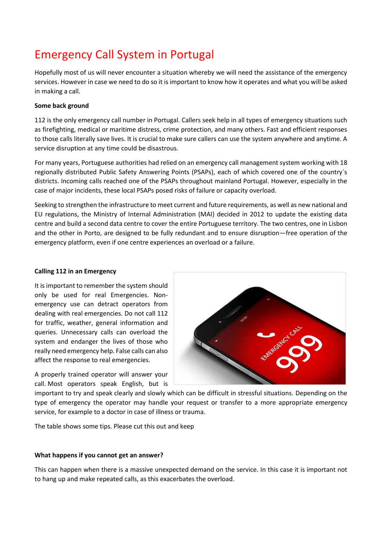# Emergency Call System in Portugal

Hopefully most of us will never encounter a situation whereby we will need the assistance of the emergency services. However in case we need to do so it is important to know how it operates and what you will be asked in making a call.

# **Some back ground**

112 is the only emergency call number in Portugal. Callers seek help in all types of emergency situations such as firefighting, medical or maritime distress, crime protection, and many others. Fast and efficient responses to those calls literally save lives. It is crucial to make sure callers can use the system anywhere and anytime. A service disruption at any time could be disastrous.

For many years, Portuguese authorities had relied on an emergency call management system working with 18 regionally distributed Public Safety Answering Points (PSAPs), each of which covered one of the country´s districts. Incoming calls reached one of the PSAPs throughout mainland Portugal. However, especially in the case of major incidents, these local PSAPs posed risks of failure or capacity overload.

Seeking to strengthen the infrastructure to meet current and future requirements, as well as new national and EU regulations, the Ministry of Internal Administration (MAI) decided in 2012 to update the existing data centre and build a second data centre to cover the entire Portuguese territory. The two centres, one in Lisbon and the other in Porto, are designed to be fully redundant and to ensure disruption—free operation of the emergency platform, even if one centre experiences an overload or a failure.

## **Calling 112 in an Emergency**

It is important to remember the system should only be used for real Emergencies. Nonemergency use can detract operators from dealing with real emergencies. Do not call 112 for traffic, weather, general information and queries. Unnecessary calls can overload the system and endanger the lives of those who really need emergency help. False calls can also affect the response to real emergencies.

A properly trained operator will answer your call. Most operators speak English, but is



important to try and speak clearly and slowly which can be difficult in stressful situations. Depending on the type of emergency the operator may handle your request or transfer to a more appropriate emergency service, for example to a doctor in case of illness or trauma.

The table shows some tips. Please cut this out and keep

### **What happens if you cannot get an answer?**

This can happen when there is a massive unexpected demand on the service. In this case it is important not to hang up and make repeated calls, as this exacerbates the overload.